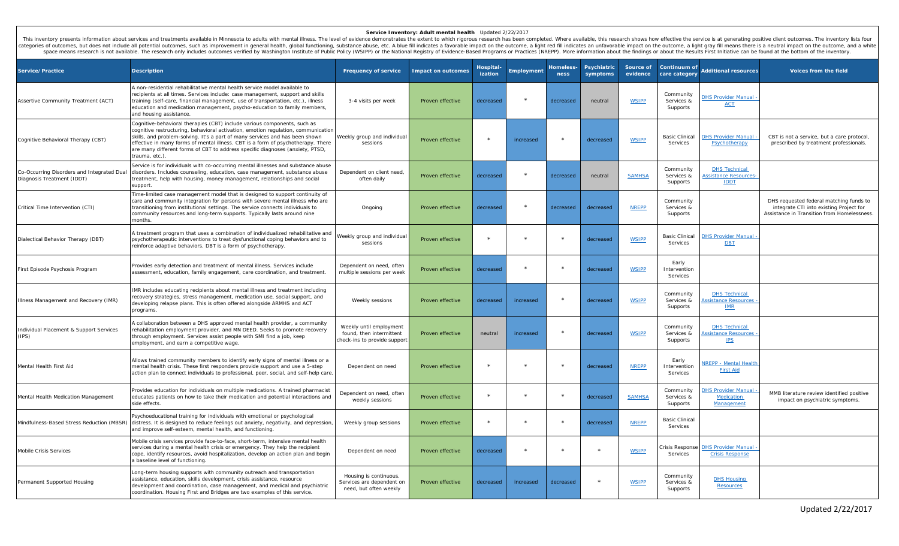## **Service Inventory: Adult mental health** Updated 2/22/2017

This inventory presents information about services and treatments available in Minnesota to adults with mental illness. The level of evidence demonstrates the extent to which rigorous research has been completed. Where ava categories of outcomes, but does not include all potential outcomes, such as improvement in general health, global functioning, substance abuse, etc. A blue fill indicates a favorable impact on the outcome, a light red fil space means research is not available. The research only includes outcomes verified by Washington Institute of Public Policy (WSIPP) or the National Registry of Evidence-Based Programs or Practices (NREPP). More informatio

| Service/Practice                                                         | <b>Description</b>                                                                                                                                                                                                                                                                                                                                                                                                                  | <b>Frequency of service</b>                                                         | <b>Impact on outcomes</b> | Hospital<br>ization | Employment | <b>Homeless-</b><br>ness | Psychiatric<br>symptoms | Source of<br>evidence | Continuum of<br>care category       | <b>Additional resources</b>                                        | Voices from the field                                                                                                             |
|--------------------------------------------------------------------------|-------------------------------------------------------------------------------------------------------------------------------------------------------------------------------------------------------------------------------------------------------------------------------------------------------------------------------------------------------------------------------------------------------------------------------------|-------------------------------------------------------------------------------------|---------------------------|---------------------|------------|--------------------------|-------------------------|-----------------------|-------------------------------------|--------------------------------------------------------------------|-----------------------------------------------------------------------------------------------------------------------------------|
| Assertive Community Treatment (ACT)                                      | A non-residential rehabilitative mental health service model available to<br>recipients at all times. Services include: case management, support and skills<br>training (self-care, financial management, use of transportation, etc.), illness<br>education and medication management, psycho-education to family members,<br>and housing assistance.                                                                              | 3-4 visits per week                                                                 | Proven effective          | decreased           |            | decreased                | neutral                 | <b>WSIPP</b>          | Community<br>Services &<br>Supports | <b>HS Provider Manual</b><br><b>ACT</b>                            |                                                                                                                                   |
| Cognitive Behavioral Therapy (CBT)                                       | Cognitive-behavioral therapies (CBT) include various components, such as<br>cognitive restructuring, behavioral activation, emotion regulation, communication<br>skills, and problem-solving. It's a part of many services and has been shown<br>effective in many forms of mental illness. CBT is a form of psychotherapy. There<br>are many different forms of CBT to address specific diagnoses (anxiety, PTSD,<br>trauma, etc.) | Weekly group and individual<br>sessions                                             | Proven effective          | $\star$             | increased  | $\star$                  | decreased               | <b>WSIPP</b>          | <b>Basic Clinical</b><br>Services   | <b>OHS Provider Manual</b><br>Psychotherapy                        | CBT is not a service, but a care protocol,<br>prescribed by treatment professionals.                                              |
| Co-Occurring Disorders and Integrated Dual<br>Diagnosis Treatment (IDDT) | Service is for individuals with co-occurring mental illnesses and substance abuse<br>disorders. Includes counseling, education, case management, substance abuse<br>treatment, help with housing, money management, relationships and social<br>support.                                                                                                                                                                            | Dependent on client need,<br>often daily                                            | Proven effective          | decreased           | $\star$    | decreased                | neutral                 | <b>SAMHSA</b>         | Community<br>Services &<br>Supports | <b>DHS Technical</b><br><b>Assistance Resources</b><br><b>IDDT</b> |                                                                                                                                   |
| Critical Time Intervention (CTI)                                         | Time-limited case management model that is designed to support continuity of<br>care and community integration for persons with severe mental illness who are<br>transitioning from institutional settings. The service connects individuals to<br>community resources and long-term supports. Typically lasts around nine<br>months.                                                                                               | Ongoing                                                                             | Proven effective          | decreased           | $\star$    | decreased                | decreased               | <b>NREPP</b>          | Community<br>Services &<br>Supports |                                                                    | DHS requested federal matching funds to<br>integrate CTI into existing Project for<br>Assistance in Transition from Homelessness. |
| Dialectical Behavior Therapy (DBT)                                       | A treatment program that uses a combination of individualized rehabilitative and<br>psychotherapeutic interventions to treat dysfunctional coping behaviors and to<br>reinforce adaptive behaviors. DBT is a form of psychotherapy.                                                                                                                                                                                                 | Weekly group and individual<br>sessions                                             | Proven effective          | $\star$             |            | $\star$                  | decreased               | <b>WSIPP</b>          | <b>Basic Clinical</b><br>Services   | <b>HS Provider Manual</b><br><b>DBT</b>                            |                                                                                                                                   |
| First Episode Psychosis Program                                          | Provides early detection and treatment of mental illness. Services include<br>assessment, education, family engagement, care coordination, and treatment.                                                                                                                                                                                                                                                                           | Dependent on need, often<br>multiple sessions per week                              | Proven effective          | decreased           | $\star$    | $\star$                  | decreased               | <b>WSIPP</b>          | Early<br>Intervention<br>Services   |                                                                    |                                                                                                                                   |
| Illness Management and Recovery (IMR)                                    | IMR includes educating recipients about mental illness and treatment including<br>ecovery strategies, stress management, medication use, social support, and<br>developing relapse plans. This is often offered alongside ARMHS and ACT<br>programs.                                                                                                                                                                                | Weekly sessions                                                                     | Proven effective          | decreased           | increased  | $\star$                  | decreased               | <b>WSIPP</b>          | Community<br>Services &<br>Supports | <b>DHS Technical</b><br>ssistance Resources<br><b>IMR</b>          |                                                                                                                                   |
| Individual Placement & Support Services<br>(IPS)                         | A collaboration between a DHS approved mental health provider, a community<br>ehabilitation employment provider, and MN DEED. Seeks to promote recovery<br>through employment. Services assist people with SMI find a job, keep<br>employment, and earn a competitive wage.                                                                                                                                                         | Weekly until employment<br>found, then intermittent<br>check-ins to provide support | Proven effective          | neutral             | increased  |                          | decreased               | <b>WSIPP</b>          | Community<br>Services &<br>Supports | <b>DHS Technical</b><br>ssistance Resources<br><b>IPS</b>          |                                                                                                                                   |
| Mental Health First Aid                                                  | Allows trained community members to identify early signs of mental illness or a<br>mental health crisis. These first responders provide support and use a 5-step<br>action plan to connect individuals to professional, peer, social, and self-help care                                                                                                                                                                            | Dependent on need                                                                   | Proven effective          |                     |            |                          | decreased               | <b>NREPP</b>          | Early<br>Intervention<br>Services   | <b>REPP - Mental Health</b><br><b>First Aid</b>                    |                                                                                                                                   |
| Mental Health Medication Management                                      | Provides education for individuals on multiple medications. A trained pharmacist<br>educates patients on how to take their medication and potential interactions and<br>side effects.                                                                                                                                                                                                                                               | Dependent on need, often<br>weekly sessions                                         | Proven effective          | $\star$             |            | $\star$                  | decreased               | <b>SAMHSA</b>         | Community<br>Services &<br>Supports | <b>HS Provider Manual</b><br><b>Medication</b><br>Management       | MMB literature review identified positive<br>impact on psychiatric symptoms.                                                      |
| Mindfulness-Based Stress Reduction (MBSR)                                | Psychoeducational training for individuals with emotional or psychological<br>distress. It is designed to reduce feelings out anxiety, negativity, and depression<br>and improve self-esteem, mental health, and functioning.                                                                                                                                                                                                       | Weekly group sessions                                                               | Proven effective          | $\star$             | $\star$    | $\star$                  | decreased               | <b>NREPP</b>          | <b>Basic Clinical</b><br>Services   |                                                                    |                                                                                                                                   |
| Mobile Crisis Services                                                   | Mobile crisis services provide face-to-face, short-term, intensive mental health<br>services during a mental health crisis or emergency. They help the recipient<br>cope, identify resources, avoid hospitalization, develop an action plan and begin<br>a baseline level of functioning                                                                                                                                            | Dependent on need                                                                   | Proven effective          | decreased           | $\star$    | $\star$                  | $\star$                 | <b>WSIPP</b>          | Crisis Response<br>Services         | <b>DHS Provider Manual</b><br><b>Crisis Response</b>               |                                                                                                                                   |
| Permanent Supported Housing                                              | Long-term housing supports with community outreach and transportation<br>assistance, education, skills development, crisis assistance, resource<br>development and coordination, case management, and medical and psychiatric<br>coordination. Housing First and Bridges are two examples of this service.                                                                                                                          | Housing is continuous.<br>Services are dependent on<br>need, but often weekly       | Proven effective          | decreased           | increased  | decreased                | $\star$                 | <b>WSIPP</b>          | Community<br>Services &<br>Supports | <b>DHS Housing</b><br><b>Resources</b>                             |                                                                                                                                   |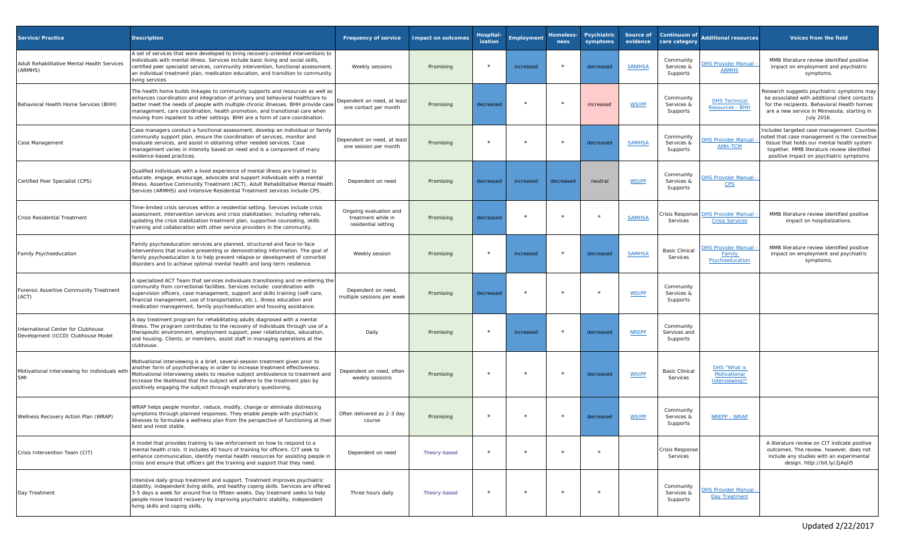| Service/Practice                                                         | <b>Description</b>                                                                                                                                                                                                                                                                                                                                                                                                   | <b>Frequency of service</b>                                         | <b>Impact on outcomes</b> | Hospital<br>ization | Employment | Homeless-<br>ness | <b>Psychiatric</b><br>symptoms | Source of<br>evidence | Continuum of<br>care category         | dditional resources                                           | <b>Voices from the field</b>                                                                                                                                                                                                      |
|--------------------------------------------------------------------------|----------------------------------------------------------------------------------------------------------------------------------------------------------------------------------------------------------------------------------------------------------------------------------------------------------------------------------------------------------------------------------------------------------------------|---------------------------------------------------------------------|---------------------------|---------------------|------------|-------------------|--------------------------------|-----------------------|---------------------------------------|---------------------------------------------------------------|-----------------------------------------------------------------------------------------------------------------------------------------------------------------------------------------------------------------------------------|
| Adult Rehabilitative Mental Health Services<br>(ARMHS)                   | A set of services that were developed to bring recovery-oriented interventions to<br>ndividuals with mental illness. Services include basic living and social skills,<br>ertified peer specialist services, community intervention, functional assessment,<br>an individual treatment plan, medication education, and transition to community<br>living services                                                     | Weekly sessions                                                     | Promising                 |                     | increased  |                   | decreased                      | <b>SAMHSA</b>         | Community<br>Services &<br>Supports   | <b>HS Provider Manual</b><br><b>ARMHS</b>                     | MMB literature review identified positive<br>impact on employment and psychiatric<br>symptoms.                                                                                                                                    |
| Behavioral Health Home Services (BHH)                                    | The health home builds linkages to community supports and resources as well as<br>enhances coordination and integration of primary and behavioral healthcare to<br>better meet the needs of people with multiple chronic illnesses. BHH provide case<br>management, care coordination, health promotion, and transitional care when<br>moving from inpatient to other settings. BHH are a form of care coordination. | Dependent on need, at least<br>one contact per month                | Promising                 | decreased           |            |                   | increased                      | <b>WSIPP</b>          | Community<br>Services &<br>Supports   | <b>DHS Technical</b><br>Resources - BHH                       | Research suggests psychiatric symptoms may<br>be associated with additional client contacts<br>for the recipients. Behavioral Health homes<br>are a new service in Minnesota, starting in<br>July 2016.                           |
| Case Management                                                          | Case managers conduct a functional assessment, develop an individual or family<br>community support plan, ensure the coordination of services, monitor and<br>evaluate services, and assist in obtaining other needed services. Case<br>management varies in intensity based on need and is a component of many<br>evidence-based practices.                                                                         | Dependent on need, at least<br>one session per month                | Promising                 | $\star$             | $\star$    | $\ast$            | decreased                      | <b>SAMHSA</b>         | Community<br>Services &<br>Supports   | <b>HS Provider Manua</b><br><b>AMH-TCM</b>                    | ncludes targeted case management. Counties<br>noted that case management is the connective<br>tissue that holds our mental health system<br>together. MMB literature review identified<br>positive impact on psychiatric symptoms |
| Certified Peer Specialist (CPS)                                          | Qualified individuals with a lived experience of mental illness are trained to<br>educate, engage, encourage, advocate and support individuals with a mental<br>illness. Assertive Community Treatment (ACT), Adult Rehabilitative Mental Health<br>Services (ARMHS) and Intensive Residential Treatment services include CPS.                                                                                       | Dependent on need                                                   | Promising                 | decreased           | increased  | decreased         | neutral                        | <b>WSIPP</b>          | Community<br>Services &<br>Supports   | <b>HS Provider Manua</b><br><b>CPS</b>                        |                                                                                                                                                                                                                                   |
| Crisis Residential Treatment                                             | Time-limited crisis services within a residential setting. Services include crisis<br>assessment, intervention services and crisis stabilization; including referrals,<br>updating the crisis stabilization treatment plan, supportive counseling, skills<br>training and collaboration with other service providers in the community.                                                                               | Ongoing evaluation and<br>treatment while in<br>residential setting | Promising                 | decreased           |            | $\star$           |                                | <b>SAMHSA</b>         | Crisis Response<br>Services           | <b>DHS Provider Manua</b><br><b>Crisis Services</b>           | MMB literature review identified positive<br>impact on hospitalizations.                                                                                                                                                          |
| Family Psychoeducation                                                   | Family psychoeducation services are planned, structured and face-to-face<br>interventions that involve presenting or demonstrating information. The goal of<br>family psychoeducation is to help prevent relapse or development of comorbid<br>disorders and to achieve optimal mental health and long-term resilience.                                                                                              | Weekly session                                                      | Promising                 | $\star$             | increased  |                   | decreased                      | <b>SAMHSA</b>         | <b>Basic Clinical</b><br>Services     | <b>HS Provider Manual</b><br><u>Family</u><br>Psychoeducation | MMB literature review identified positive<br>impact on employment and psychiatric<br>symptoms.                                                                                                                                    |
| Forensic Assertive Community Treatment<br>(ACT)                          | A specialized ACT Team that services individuals transitioning and re-entering the<br>community from correctional facilities. Services include: coordination with<br>supervision officers, case management, support and skills training (self-care,<br>financial management, use of transportation, etc.), illness education and<br>medication management, family psychoeducation and housing assistance.            | Dependent on need,<br>multiple sessions per week                    | Promising                 | decreased           |            | $\star$           |                                | <b>WSIPP</b>          | Community<br>Services &<br>Supports   |                                                               |                                                                                                                                                                                                                                   |
| International Center for Clubhouse<br>Development (ICCD) Clubhouse Model | A day treatment program for rehabilitating adults diagnosed with a mental<br>illness. The program contributes to the recovery of individuals through use of a<br>therapeutic environment, employment support, peer relationships, education,<br>and housing. Clients, or members, assist staff in managing operations at the<br>clubhouse.                                                                           | Daily                                                               | Promising                 | $\star$             | increased  |                   | decreased                      | <b>NREPP</b>          | Community<br>Services and<br>Supports |                                                               |                                                                                                                                                                                                                                   |
| Motivational Interviewing for individuals with<br>SMI                    | Motivational interviewing is a brief, several-session treatment given prior to<br>another form of psychotherapy in order to increase treatment effectiveness.<br>Motivational interviewing seeks to resolve subject ambivalence to treatment and<br>increase the likelihood that the subject will adhere to the treatment plan by<br>positively engaging the subject through exploratory questioning.                | Dependent on need, often<br>weekly sessions                         | Promising                 | $\star$             |            | $\ast$            | decreased                      | <b>WSIPP</b>          | <b>Basic Clinical</b><br>Services     | DHS "What is<br>Motivational<br>Interviewing?"                |                                                                                                                                                                                                                                   |
| Wellness Recovery Action Plan (WRAP)                                     | WRAP helps people monitor, reduce, modify, change or eliminate distressing<br>symptoms through planned responses. They enable people with psychiatric<br>illnesses to formulate a wellness plan from the perspective of functioning at their<br>best and most stable                                                                                                                                                 | Often delivered as 2-3 day<br>course                                | Promising                 |                     |            | $\star$           | decreased                      | <b>WSIPP</b>          | Community<br>Services &<br>Supports   | NREPP - WRAP                                                  |                                                                                                                                                                                                                                   |
| Crisis Intervention Team (CIT)                                           | A model that provides training to law enforcement on how to respond to a<br>mental health crisis. It includes 40 hours of training for officers. CIT seek to<br>enhance communication, identify mental health resources for assisting people in<br>crisis and ensure that officers get the training and support that they need.                                                                                      | Dependent on need                                                   | Theory-based              | $\star$             |            |                   |                                |                       | Crisis Respons<br>Services            |                                                               | A literature review on CIT indicate positive<br>outcomes. The review, however, does not<br>include any studies with an experimental<br>design. http://bit.ly/2jAqII5                                                              |
| Day Treatment                                                            | Intensive daily group treatment and support. Treatment improves psychiatric<br>stability, independent living skills, and healthy coping skills. Services are offered<br>3-5 days a week for around five to fifteen weeks. Day treatment seeks to help<br>people move toward recovery by improving psychiatric stability, independent<br>living skills and coping skills.                                             | Three hours daily                                                   | Theory-based              |                     |            |                   |                                |                       | Community<br>Services &<br>Supports   | <b>HS Provider Manual</b><br>Day Treatment                    |                                                                                                                                                                                                                                   |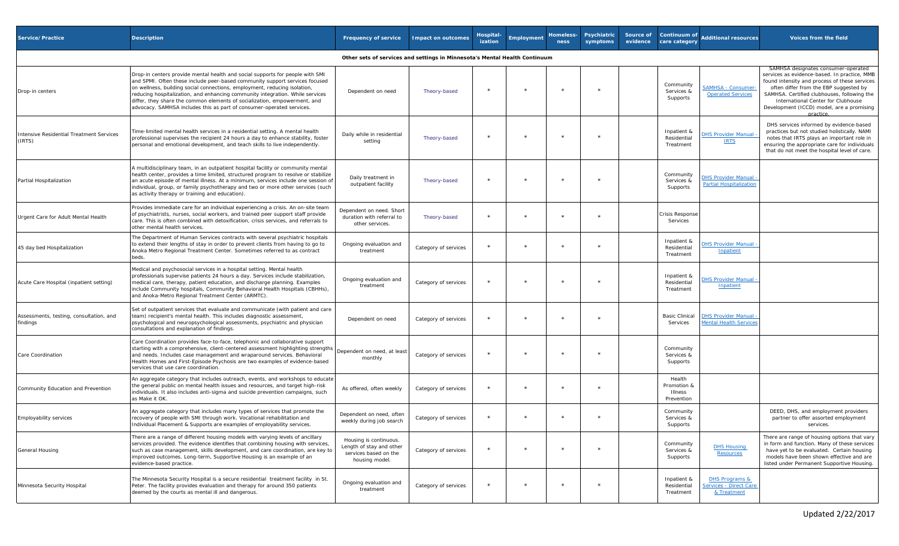| Service/Practice                                                           | <b>Description</b>                                                                                                                                                                                                                                                                                                                                                                                                                                                               | <b>Frequency of service</b>                                                                   | <b>Impact on outcomes</b> | Hospital-<br>ization | Employment | Homeless-<br>ness | Psychiatric<br>symptoms | Source of<br>evidence | Continuum of<br>care category                  | <b>Additional resources</b>                                        | Voices from the field                                                                                                                                                                                                                                                                                                        |
|----------------------------------------------------------------------------|----------------------------------------------------------------------------------------------------------------------------------------------------------------------------------------------------------------------------------------------------------------------------------------------------------------------------------------------------------------------------------------------------------------------------------------------------------------------------------|-----------------------------------------------------------------------------------------------|---------------------------|----------------------|------------|-------------------|-------------------------|-----------------------|------------------------------------------------|--------------------------------------------------------------------|------------------------------------------------------------------------------------------------------------------------------------------------------------------------------------------------------------------------------------------------------------------------------------------------------------------------------|
| Other sets of services and settings in Minnesota's Mental Health Continuum |                                                                                                                                                                                                                                                                                                                                                                                                                                                                                  |                                                                                               |                           |                      |            |                   |                         |                       |                                                |                                                                    |                                                                                                                                                                                                                                                                                                                              |
| Drop-in centers                                                            | Drop-in centers provide mental health and social supports for people with SMI<br>and SPMI. Often these include peer-based community support services focused<br>on wellness, building social connections, employment, reducing isolation,<br>reducing hospitalization, and enhancing community integration. While services<br>differ, they share the common elements of socialization, empowerment, and<br>advocacy. SAMHSA includes this as part of consumer-operated services. | Dependent on need                                                                             | Theory-based              |                      |            |                   |                         |                       | Community<br>Services &<br>Supports            | SAMHSA - Consumer<br><b>Operated Services</b>                      | SAMHSA designates consumer-operated<br>services as evidence-based. In practice, MMB<br>found intensity and process of these services<br>often differ from the EBP suggested by<br>SAMHSA. Certified clubhouses, following the<br>International Center for Clubhouse<br>Development (ICCD) model, are a promising<br>practice |
| Intensive Residential Treatment Services<br>(IRTS)                         | Time-limited mental health services in a residential setting. A mental health<br>professional supervises the recipient 24 hours a day to enhance stability, foster<br>personal and emotional development, and teach skills to live independently.                                                                                                                                                                                                                                | Daily while in residential<br>setting                                                         | Theory-based              |                      |            |                   |                         |                       | Inpatient &<br>Residential<br>Treatment        | <b>OHS Provider Manual</b><br><b>IRTS</b>                          | DHS services informed by evidence-based<br>practices but not studied holistically. NAMI<br>notes that IRTS plays an important role in<br>ensuring the appropriate care for individuals<br>that do not meet the hospital level of care.                                                                                       |
| Partial Hospitalization                                                    | A multidisciplinary team, in an outpatient hospital facility or community mental<br>health center, provides a time limited, structured program to resolve or stabilize<br>an acute episode of mental illness. At a minimum, services include one session of<br>individual, group, or family psychotherapy and two or more other services (such<br>as activity therapy or training and education).                                                                                | Daily treatment in<br>outpatient facility                                                     | Theory-based              | $\star$              |            |                   |                         |                       | Community<br>Services &<br>Supports            | <b>DHS Provider Manual</b><br>Partial Hospitalization              |                                                                                                                                                                                                                                                                                                                              |
| Urgent Care for Adult Mental Health                                        | Provides immediate care for an individual experiencing a crisis. An on-site team<br>of psychiatrists, nurses, social workers, and trained peer support staff provide<br>care. This is often combined with detoxification, crisis services, and referrals to<br>other mental health services.                                                                                                                                                                                     | Dependent on need. Short<br>duration with referral to<br>other services.                      | Theory-based              |                      |            |                   |                         |                       | <b>Crisis Response</b><br>Services             |                                                                    |                                                                                                                                                                                                                                                                                                                              |
| 45 day bed Hospitalization                                                 | The Department of Human Services contracts with several psychiatric hospitals<br>to extend their lengths of stay in order to prevent clients from having to go to<br>Anoka Metro Regional Treatment Center. Sometimes referred to as contract<br>beds.                                                                                                                                                                                                                           | Ongoing evaluation and<br>treatment                                                           | Category of services      | $\star$              |            |                   |                         |                       | Inpatient &<br>Residential<br>Treatment        | <b>DHS Provider Manual</b><br>Inpatient                            |                                                                                                                                                                                                                                                                                                                              |
| Acute Care Hospital (inpatient setting)                                    | Medical and psychosocial services in a hospital setting. Mental health<br>professionals supervise patients 24 hours a day. Services include stabilization,<br>medical care, therapy, patient education, and discharge planning. Examples<br>include Community hospitals, Community Behavioral Health Hospitals (CBHHs),<br>and Anoka-Metro Regional Treatment Center (ARMTC).                                                                                                    | Ongoing evaluation and<br>treatment                                                           | Category of services      | $\star$              |            |                   |                         |                       | Inpatient &<br>Residential<br>Treatment        | <b>DHS Provider Manual</b><br>Inpatient                            |                                                                                                                                                                                                                                                                                                                              |
| Assessments, testing, consultation, and<br>findings                        | Set of outpatient services that evaluate and communicate (with patient and care<br>team) recipient's mental health. This includes diagnostic assessment,<br>psychological and neuropsychological assessments, psychiatric and physician<br>consultations and explanation of findings.                                                                                                                                                                                            | Dependent on need                                                                             | Category of services      |                      |            |                   |                         |                       | <b>Basic Clinical</b><br>Services              | <b>DHS Provider Manual</b><br>Mental Health Service                |                                                                                                                                                                                                                                                                                                                              |
| Care Coordination                                                          | Care Coordination provides face-to-face, telephonic and collaborative support<br>starting with a comprehensive, client-centered assessment highlighting strengths<br>and needs. Includes case management and wraparound services. Behavioral<br>Health Homes and First-Episode Psychosis are two examples of evidence-based<br>services that use care coordination.                                                                                                              | Dependent on need, at least<br>monthly                                                        | Category of services      | $\star$              |            |                   |                         |                       | Community<br>Services &<br>Supports            |                                                                    |                                                                                                                                                                                                                                                                                                                              |
| Community Education and Prevention                                         | An aggregate category that includes outreach, events, and workshops to educate<br>the general public on mental health issues and resources, and target high-risk<br>individuals. It also includes anti-sigma and suicide prevention campaigns, such<br>as Make it OK.                                                                                                                                                                                                            | As offered, often weekly                                                                      | Category of services      |                      |            |                   |                         |                       | Health<br>Promotion &<br>Illness<br>Prevention |                                                                    |                                                                                                                                                                                                                                                                                                                              |
| Employability services                                                     | An aggregate category that includes many types of services that promote the<br>recovery of people with SMI through work. Vocational rehabilitation and<br>Individual Placement & Supports are examples of employability services.                                                                                                                                                                                                                                                | Dependent on need, often<br>weekly during job search                                          | Category of services      | $\star$              | $\star$    |                   |                         |                       | Community<br>Services &<br>Supports            |                                                                    | DEED, DHS, and employment providers<br>partner to offer assorted employment<br>services.                                                                                                                                                                                                                                     |
| General Housing                                                            | There are a range of different housing models with varying levels of ancillary<br>services provided. The evidence identifies that combining housing with services,<br>such as case management, skills development, and care coordination, are key to<br>improved outcomes. Long-term, Supportive Housing is an example of an<br>evidence-based practice.                                                                                                                         | Housing is continuous.<br>Length of stay and other<br>services based on the<br>housing model. | Category of services      |                      |            |                   |                         |                       | Community<br>Services &<br>Supports            | <b>DHS Housing</b><br>Resources                                    | There are range of housing options that vary<br>in form and function. Many of these services<br>have yet to be evaluated. Certain housing<br>models have been shown effective and are<br>listed under Permanent Supportive Housing.                                                                                          |
| Minnesota Security Hospital                                                | The Minnesota Security Hospital is a secure residential treatment facility in St.<br>Peter. The facility provides evaluation and therapy for around 350 patients<br>deemed by the courts as mental ill and dangerous.                                                                                                                                                                                                                                                            | Ongoing evaluation and<br>treatment                                                           | Category of services      | $\star$              |            |                   |                         |                       | Inpatient &<br>Residential<br>Treatment        | <b>DHS Programs &amp;</b><br>Services - Direct Care<br>& Treatment |                                                                                                                                                                                                                                                                                                                              |